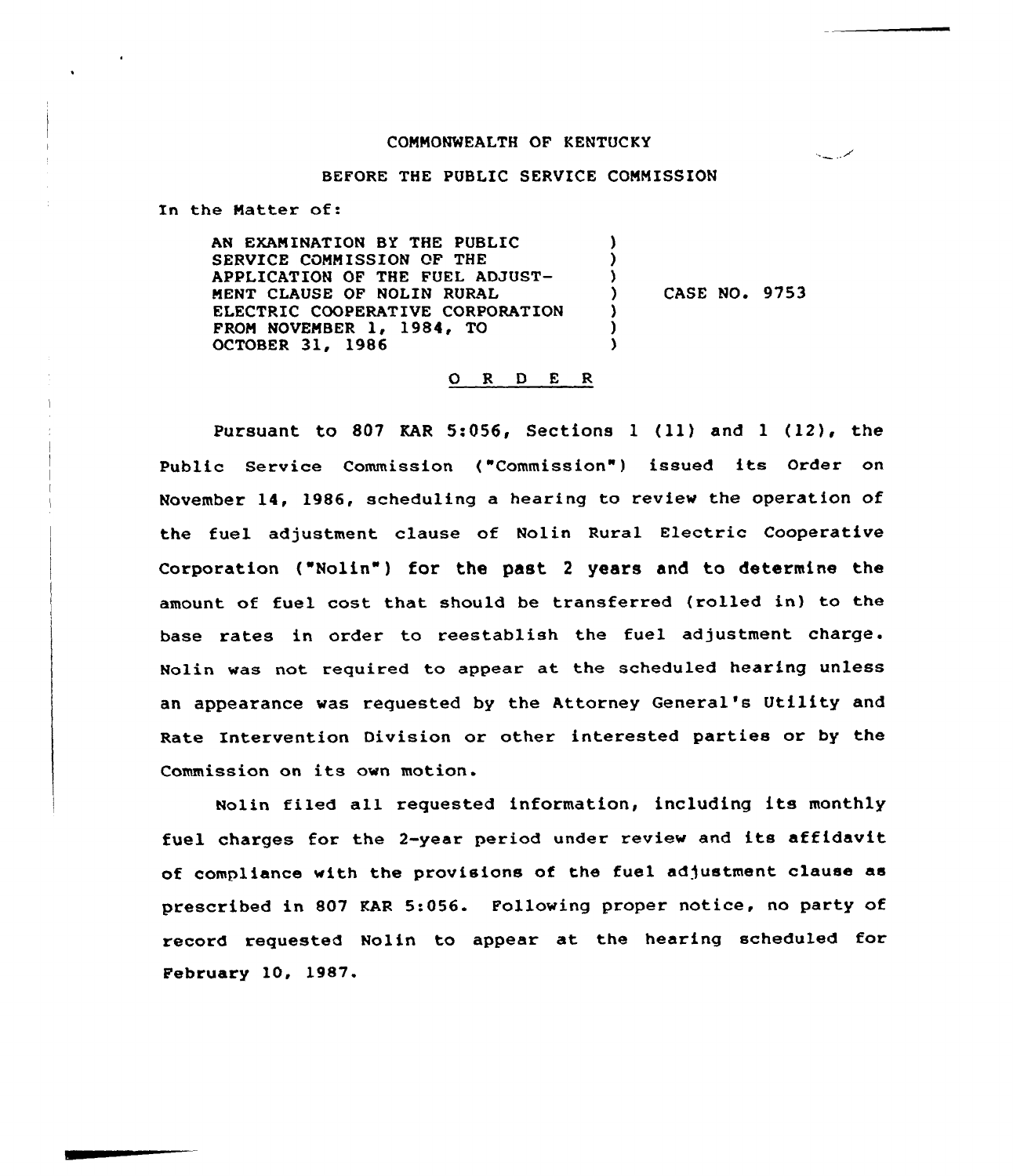### COMMONWEALTH OF KENTUCKY

سمن پیپ

### BEFORE THE PUBLIC SERVICE COMMISSION

In the Matter of:

AN EXAMINATION BY THE PUBLIC SERVICE COMMISSION OF THE APPLICATION OF THE FUEL ADJUST-MENT CLAUSE OF NOLIN RURAL ELECTRIC COOPERATIVE CORPORATION FROM NOVEMBER 1, 1984, TO OCTOBER 31, 1986 ) )  $\left\{ \right.$ ) CASE NO. 9753 ) ) )

### O R D E R

Pursuant to 807 KAR 5:056, Sections 1 (11) and 1 (12), the Public Service Commission ("Commission") issued its Order on November 14, 1986, scheduling a hearing to review the operation of the fuel adjustment clause of Nolin Rural Electric Cooperative Corporation ("Nolin") for the past <sup>2</sup> years and to determine the amount of fuel cast that should be transferred (rolled in) to the base rates in order to reestablish the fuel adjustment charge. Nolin was not required to appear at the scheduled hearing unless an appearance was requested by the Attorney General's Utility and Rate Intervention Division or other interested parties ar by the Commission on its own motion.

Nolin filed all requested information, including its monthly fuel charges for the 2-year period under review and its affidavit of compliance with the provisions of the fuel adjustment clause as prescribed in 807 KAR 5:056. Following proper notice, no party of record requested Nolin to appear at the hearing scheduled for February 10, 1987.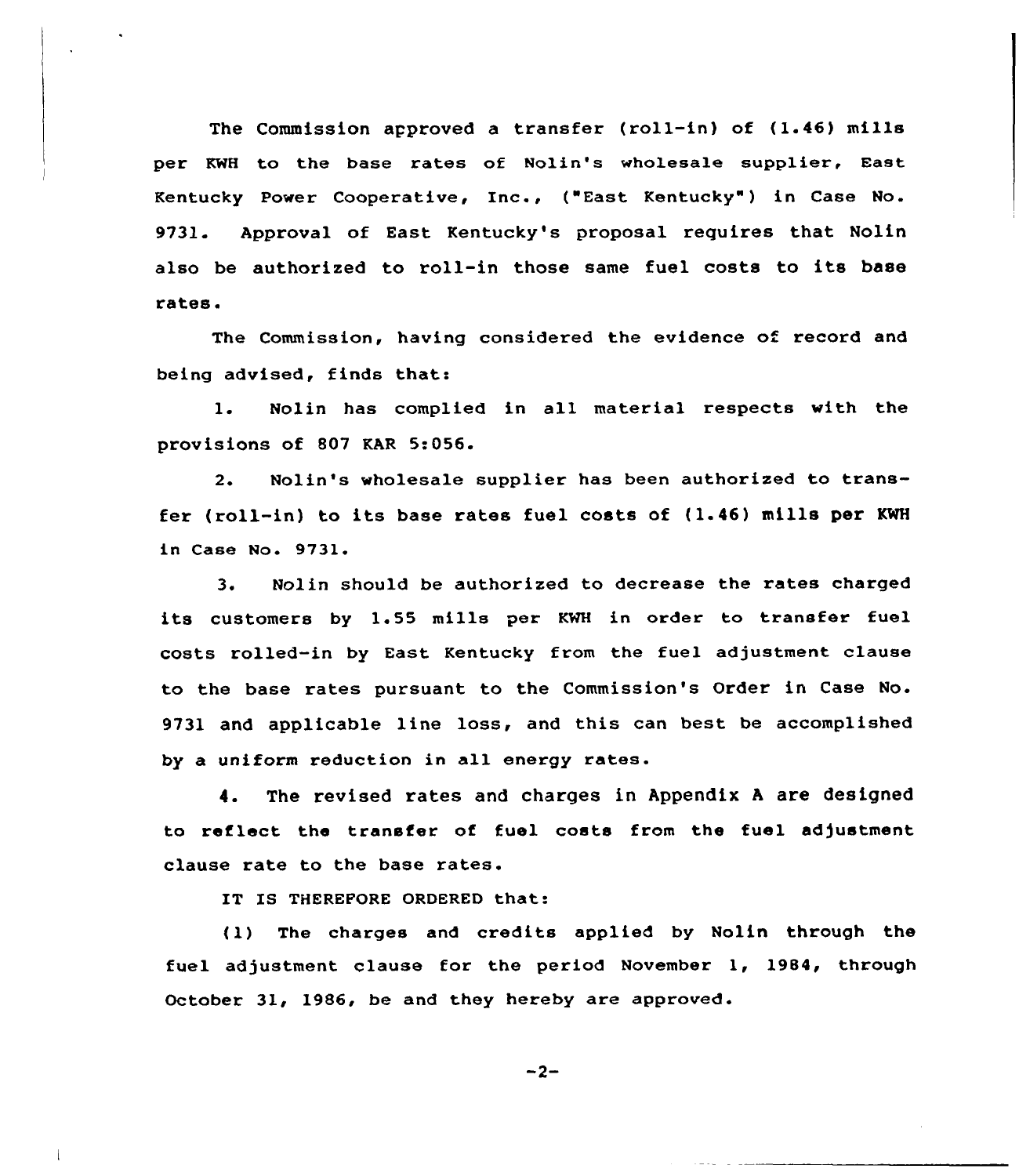The Commission approved a transfer (roll-in) of (1.46) mills per KWH to the base rates of Nolin's wholesale supplier, East Kentucky Power Cooperative, Inc., ("East Kentucky" ) in Case No. 9731. Approval of East Kentucky's proposal requires that Nolin also be authorized to roll-in those same fuel costs to its base rates.

The Commission, having considered the evidence of record and being advised, finds that:

1. Nolin has complied in all material respects with the provisions of 807 KAR 5:056.

2. Nolin's wholesale supplier has been authorized to transfer (roll-in) to its base rates fuel costs of (1.46) mills per KWH in Case No. 9731.

3. Nolin should be authorized to decrease the rates charged its customers by 1.55 mills per KWH in order to transfer fuel costs rolled-in by East Kentucky from the fuel adjustment clause to the base rates pursuant to the Commission's Order in Case No. 9731 and applicable line loss, and this can best be accomplished by a uniform reduction in all energy rates.

4. The revised rates and charges in Appendix <sup>A</sup> are designed to reflect the transfer of fuel costs from the fuel adjustment clause rate to the base rates.

IT IS THEREFORE ORDERED that:

(1) The charges and credits applied by Nolin through the fuel adjustment clause for the period November 1, 1984, through October 31, 1986, be and they hereby are approved.

 $-2-$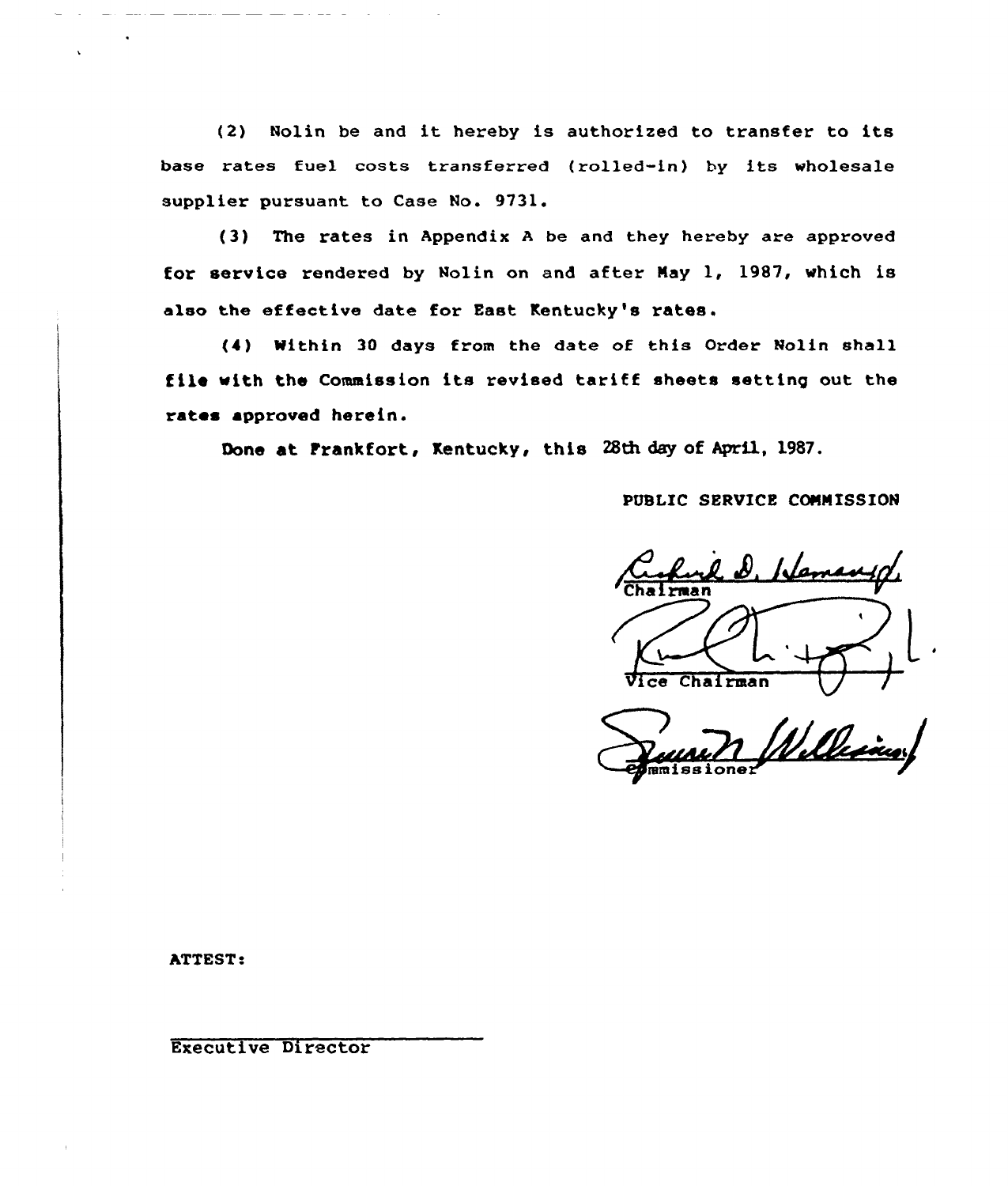(2) Nolin be and it hereby is authorized to transfer to its base rates fuel costs transferred (rolled-in) by its wholesale supplier pursuant to Case No. 9731.

(3) The rates in Appendix <sup>A</sup> be and they hereby are approved for service rendered by Nolin on and after Nay 1, 1987, which is also the effective date for East Kentucky's rates.

(4) Within 3D days from the date of this Order Nolin shall file with the Commission its revised tariff sheets setting out the rates approved herein.

Done at Frankfort, Kentucky, this 28th day of April, 1987.

PUBLIC SERVICE CONNISSION

el D. Hamany  $Chalran$ 

Wille

ATTEST:

Executive Director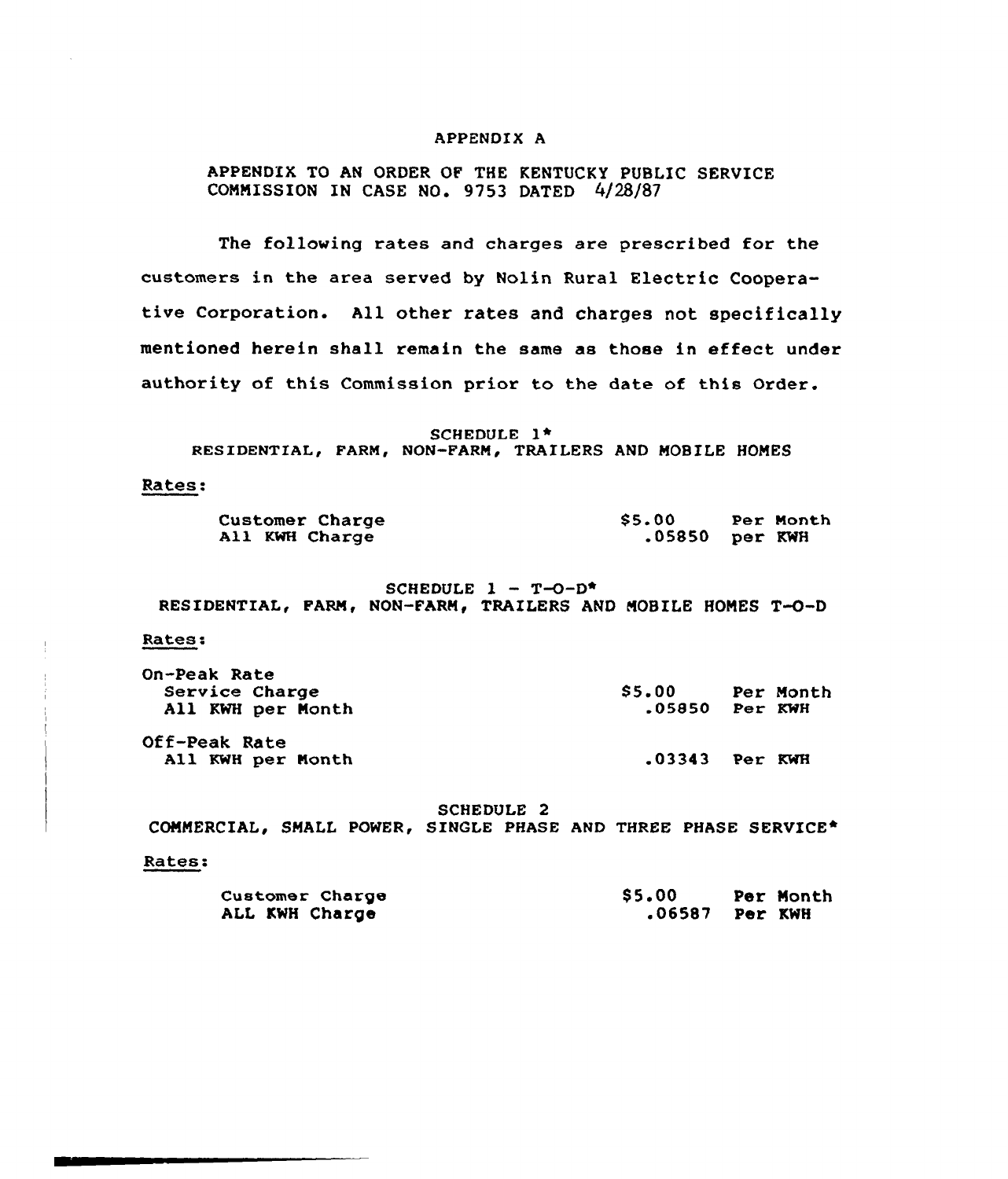### APPENDIX A

# APPENDIX TO AN ORDER OF THE KENTUCKY PUBLIC SERUICE COMMISSION IN CASE NO. 9753 DATED 4/28/87

The following rates and charges are prescribed for the customers in the area served by Nolin Rural Electric Cooperative Corporation. All other rates and charges not specifically mentioned herein shall remain the same as those in effect under authority of this Commission prior to the date of this Order.

SCHEDULE l\* RESIDENTIAL, FARM, NON-FARM, TRAILERS AND MOBILE HOMES

#### Rates:

| Customer Charge | \$5.00           | Per Month |
|-----------------|------------------|-----------|
| All KWH Charge  | $.05850$ per KWH |           |

SCHEDULE  $1 - T - 0 - D$ \* RESIDENTIAL, FARM, NON-FARM, TRAILERS AND MOBILE HOMES T-O-D

#### Rates:

| On-Peak Rate<br>Service Charge<br>All KWH per Month | <b>S5.00</b><br>$.05850$ Per KWH | Per Month |
|-----------------------------------------------------|----------------------------------|-----------|
| <b>Off-Peak Rate</b><br>All KWH per Month           | $.03343$ Per KWH                 |           |

SCHEDULE 2

COMMERCIAL, SMALL POWER, SINGLE PHASE AND THREE PHASE SERVICE\*

#### Rates:

| <b>Customer Charge</b> | <b>S5.00</b> | Per Month |
|------------------------|--------------|-----------|
| ALL KWH Charge         |              |           |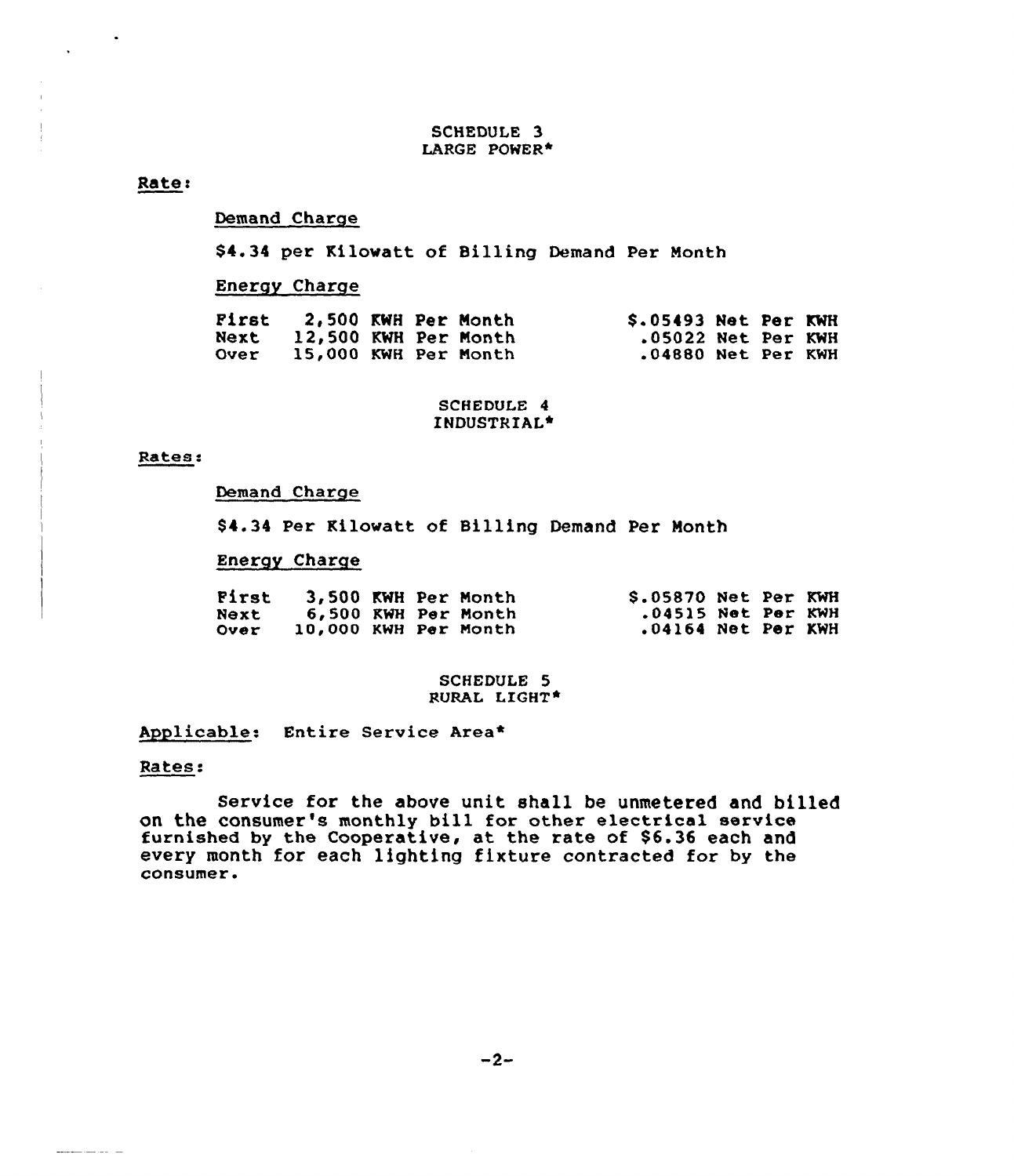### SCHEDULE 3 LARGE POWER\*

### Rate:

## Demand Charge

\$4.34 per Kilowatt of Billing Demand Per Month

## Energy Charge

| Pirst       | <b>2.500 KWH Per Month</b> |  | $$.05493$ Net Per KWH |  |  |
|-------------|----------------------------|--|-----------------------|--|--|
| Next        | 12,500 KWH Per Month       |  | .05022 Net Per KWH    |  |  |
| <b>Over</b> | 15,000 KWH Per Month       |  | .04880 Net Per KWH    |  |  |

## SCHEDULE 4 INDUSTRIAL+

### Rates:

### Demand Charge

\$4.34 Per Kilowatt of Billing Demand Per Month

## Energy Charge

| First |                      |  | 3,500 KWH Per Month | S.05870 Net Per KWH |  |  |
|-------|----------------------|--|---------------------|---------------------|--|--|
| Next  |                      |  | 6,500 KWH Per Month | .04515 Net Per KWH  |  |  |
| Over  | 10,000 KWH Per Month |  |                     | .04164 Net Per KWH  |  |  |

### SCHEDULE 5 RURAL LIGHT\*

Applicable: Entire Service Area\*

## Rates:

 $\begin{aligned} \mathbf{L}(\mathbf{L}(\mathbf{L}(\mathbf{L}(\mathbf{L}(\mathbf{L}(\mathbf{L}(\mathbf{L}(\mathbf{L}(\mathbf{L}(\mathbf{L}(\mathbf{L}(\mathbf{L}(\mathbf{L}(\mathbf{L}(\mathbf{L}(\mathbf{L}(\mathbf{L}(\mathbf{L}(\mathbf{L}(\mathbf{L}(\mathbf{L}(\mathbf{L}(\mathbf{L}(\mathbf{L}(\mathbf{L}(\mathbf{L}(\mathbf{L}(\mathbf{L}(\mathbf{L}(\mathbf{L}(\mathbf{L}(\mathbf{L}(\mathbf{L}(\mathbf{L}(\mathbf{L$ 

Service for the above unit shall be unmetered and billed on the consumer's monthly bill for other electrical service furnished by the Cooperative, at the rate of \$6.36 each and every month for each lighting fixture contracted for by the consumer.